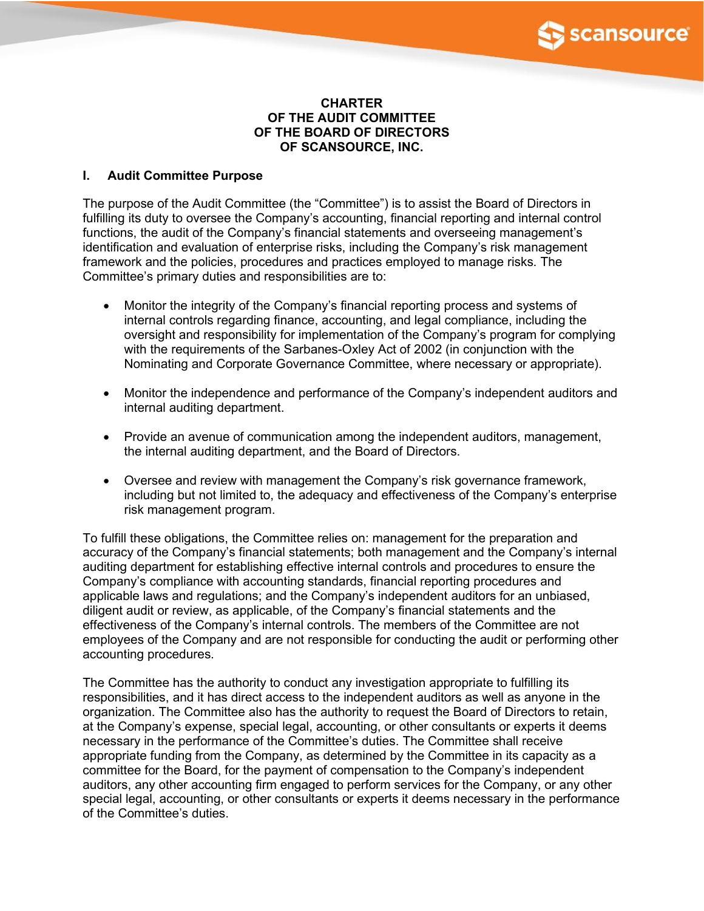

### **CHARTER OF THE AUDIT COMMITTEE OF THE BOARD OF DIRECTORS OF SCANSOURCE, INC.**

# **I. Audit Committee Purpose**

The purpose of the Audit Committee (the "Committee") is to assist the Board of Directors in fulfilling its duty to oversee the Company's accounting, financial reporting and internal control functions, the audit of the Company's financial statements and overseeing management's identification and evaluation of enterprise risks, including the Company's risk management framework and the policies, procedures and practices employed to manage risks. The Committee's primary duties and responsibilities are to:

- Monitor the integrity of the Company's financial reporting process and systems of internal controls regarding finance, accounting, and legal compliance, including the oversight and responsibility for implementation of the Company's program for complying with the requirements of the Sarbanes-Oxley Act of 2002 (in conjunction with the Nominating and Corporate Governance Committee, where necessary or appropriate).
- Monitor the independence and performance of the Company's independent auditors and internal auditing department.
- Provide an avenue of communication among the independent auditors, management, the internal auditing department, and the Board of Directors.
- Oversee and review with management the Company's risk governance framework, including but not limited to, the adequacy and effectiveness of the Company's enterprise risk management program.

To fulfill these obligations, the Committee relies on: management for the preparation and accuracy of the Company's financial statements; both management and the Company's internal auditing department for establishing effective internal controls and procedures to ensure the Company's compliance with accounting standards, financial reporting procedures and applicable laws and regulations; and the Company's independent auditors for an unbiased, diligent audit or review, as applicable, of the Company's financial statements and the effectiveness of the Company's internal controls. The members of the Committee are not employees of the Company and are not responsible for conducting the audit or performing other accounting procedures.

The Committee has the authority to conduct any investigation appropriate to fulfilling its responsibilities, and it has direct access to the independent auditors as well as anyone in the organization. The Committee also has the authority to request the Board of Directors to retain, at the Company's expense, special legal, accounting, or other consultants or experts it deems necessary in the performance of the Committee's duties. The Committee shall receive appropriate funding from the Company, as determined by the Committee in its capacity as a committee for the Board, for the payment of compensation to the Company's independent auditors, any other accounting firm engaged to perform services for the Company, or any other special legal, accounting, or other consultants or experts it deems necessary in the performance of the Committee's duties.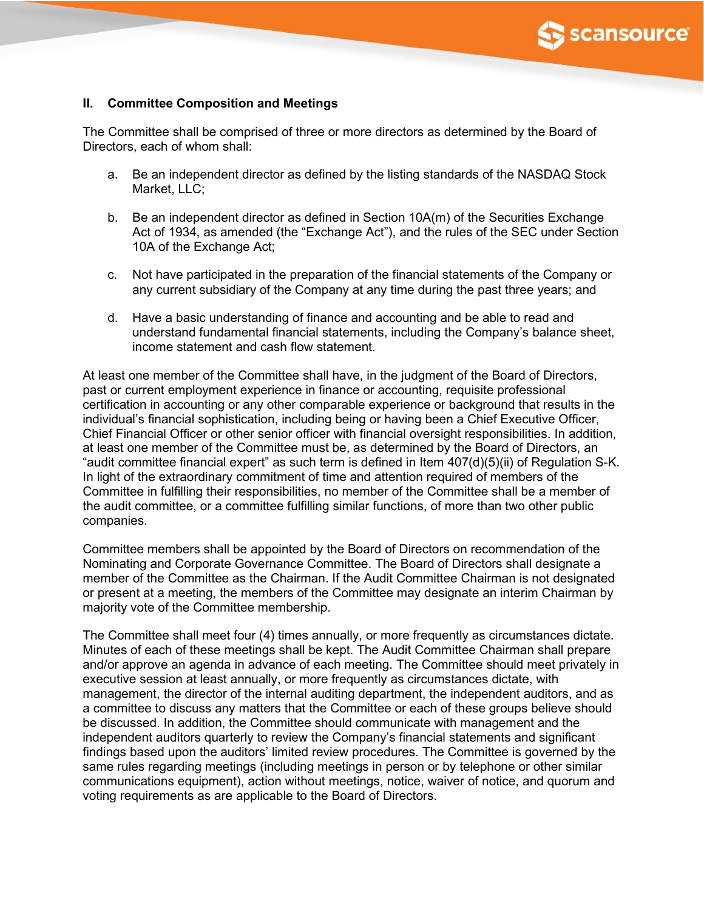

## **II. Committee Composition and Meetings**

The Committee shall be comprised of three or more directors as determined by the Board of Directors, each of whom shall:

- a. Be an independent director as defined by the listing standards of the NASDAQ Stock Market, LLC;
- b. Be an independent director as defined in Section 10A(m) of the Securities Exchange Act of 1934, as amended (the "Exchange Act"), and the rules of the SEC under Section 10A of the Exchange Act;
- c. Not have participated in the preparation of the financial statements of the Company or any current subsidiary of the Company at any time during the past three years; and
- d. Have a basic understanding of finance and accounting and be able to read and understand fundamental financial statements, including the Company's balance sheet, income statement and cash flow statement.

At least one member of the Committee shall have, in the judgment of the Board of Directors, past or current employment experience in finance or accounting, requisite professional certification in accounting or any other comparable experience or background that results in the individual's financial sophistication, including being or having been a Chief Executive Officer, Chief Financial Officer or other senior officer with financial oversight responsibilities. In addition, at least one member of the Committee must be, as determined by the Board of Directors, an "audit committee financial expert" as such term is defined in Item 407(d)(5)(ii) of Regulation S-K. In light of the extraordinary commitment of time and attention required of members of the Committee in fulfilling their responsibilities, no member of the Committee shall be a member of the audit committee, or a committee fulfilling similar functions, of more than two other public companies.

Committee members shall be appointed by the Board of Directors on recommendation of the Nominating and Corporate Governance Committee. The Board of Directors shall designate a member of the Committee as the Chairman. If the Audit Committee Chairman is not designated or present at a meeting, the members of the Committee may designate an interim Chairman by majority vote of the Committee membership.

The Committee shall meet four (4) times annually, or more frequently as circumstances dictate. Minutes of each of these meetings shall be kept. The Audit Committee Chairman shall prepare and/or approve an agenda in advance of each meeting. The Committee should meet privately in executive session at least annually, or more frequently as circumstances dictate, with management, the director of the internal auditing department, the independent auditors, and as a committee to discuss any matters that the Committee or each of these groups believe should be discussed. In addition, the Committee should communicate with management and the independent auditors quarterly to review the Company's financial statements and significant findings based upon the auditors' limited review procedures. The Committee is governed by the same rules regarding meetings (including meetings in person or by telephone or other similar communications equipment), action without meetings, notice, waiver of notice, and quorum and voting requirements as are applicable to the Board of Directors.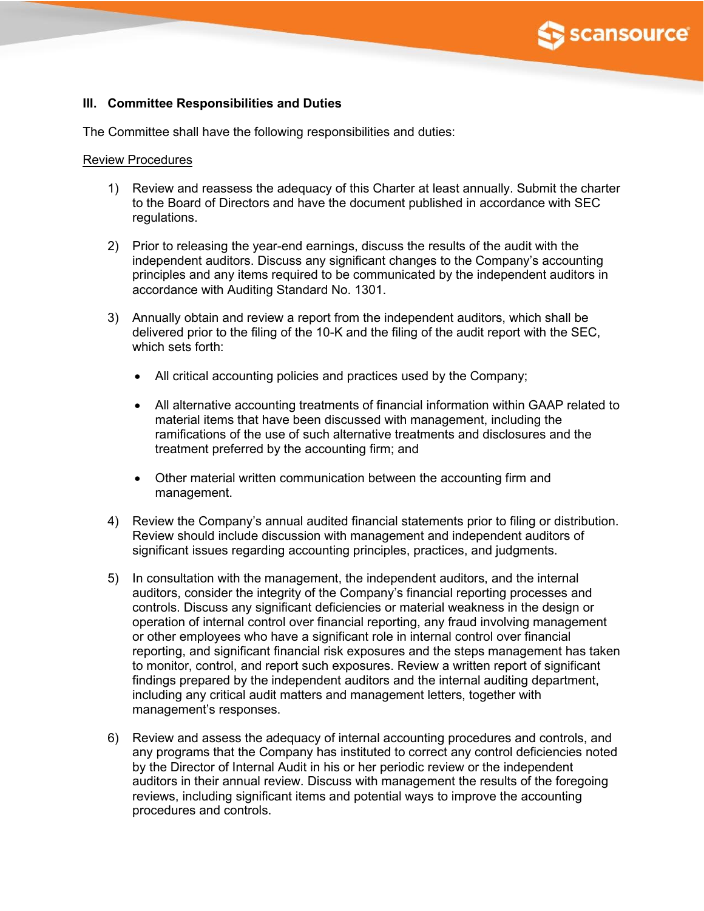

# **III. Committee Responsibilities and Duties**

The Committee shall have the following responsibilities and duties:

### Review Procedures

- 1) Review and reassess the adequacy of this Charter at least annually. Submit the charter to the Board of Directors and have the document published in accordance with SEC regulations.
- 2) Prior to releasing the year-end earnings, discuss the results of the audit with the independent auditors. Discuss any significant changes to the Company's accounting principles and any items required to be communicated by the independent auditors in accordance with Auditing Standard No. 1301.
- 3) Annually obtain and review a report from the independent auditors, which shall be delivered prior to the filing of the 10-K and the filing of the audit report with the SEC, which sets forth:
	- All critical accounting policies and practices used by the Company;
	- All alternative accounting treatments of financial information within GAAP related to material items that have been discussed with management, including the ramifications of the use of such alternative treatments and disclosures and the treatment preferred by the accounting firm; and
	- Other material written communication between the accounting firm and management.
- 4) Review the Company's annual audited financial statements prior to filing or distribution. Review should include discussion with management and independent auditors of significant issues regarding accounting principles, practices, and judgments.
- 5) In consultation with the management, the independent auditors, and the internal auditors, consider the integrity of the Company's financial reporting processes and controls. Discuss any significant deficiencies or material weakness in the design or operation of internal control over financial reporting, any fraud involving management or other employees who have a significant role in internal control over financial reporting, and significant financial risk exposures and the steps management has taken to monitor, control, and report such exposures. Review a written report of significant findings prepared by the independent auditors and the internal auditing department, including any critical audit matters and management letters, together with management's responses.
- 6) Review and assess the adequacy of internal accounting procedures and controls, and any programs that the Company has instituted to correct any control deficiencies noted by the Director of Internal Audit in his or her periodic review or the independent auditors in their annual review. Discuss with management the results of the foregoing reviews, including significant items and potential ways to improve the accounting procedures and controls.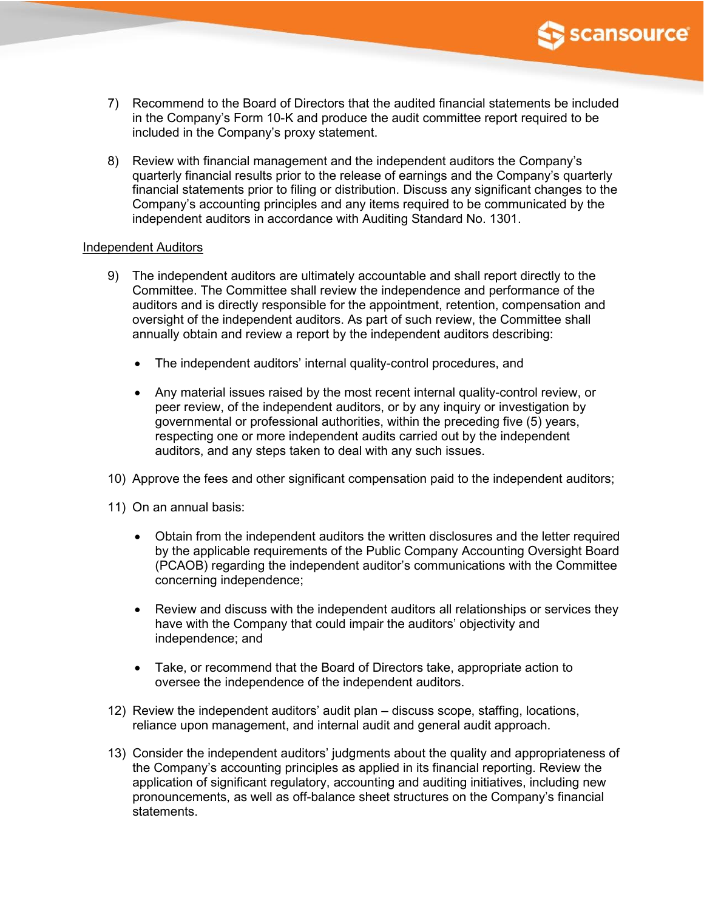

- 7) Recommend to the Board of Directors that the audited financial statements be included in the Company's Form 10-K and produce the audit committee report required to be included in the Company's proxy statement.
- 8) Review with financial management and the independent auditors the Company's quarterly financial results prior to the release of earnings and the Company's quarterly financial statements prior to filing or distribution. Discuss any significant changes to the Company's accounting principles and any items required to be communicated by the independent auditors in accordance with Auditing Standard No. 1301.

### Independent Auditors

- 9) The independent auditors are ultimately accountable and shall report directly to the Committee. The Committee shall review the independence and performance of the auditors and is directly responsible for the appointment, retention, compensation and oversight of the independent auditors. As part of such review, the Committee shall annually obtain and review a report by the independent auditors describing:
	- The independent auditors' internal quality-control procedures, and
	- Any material issues raised by the most recent internal quality-control review, or peer review, of the independent auditors, or by any inquiry or investigation by governmental or professional authorities, within the preceding five (5) years, respecting one or more independent audits carried out by the independent auditors, and any steps taken to deal with any such issues.
- 10) Approve the fees and other significant compensation paid to the independent auditors;
- 11) On an annual basis:
	- Obtain from the independent auditors the written disclosures and the letter required by the applicable requirements of the Public Company Accounting Oversight Board (PCAOB) regarding the independent auditor's communications with the Committee concerning independence;
	- Review and discuss with the independent auditors all relationships or services they have with the Company that could impair the auditors' objectivity and independence; and
	- Take, or recommend that the Board of Directors take, appropriate action to oversee the independence of the independent auditors.
- 12) Review the independent auditors' audit plan discuss scope, staffing, locations, reliance upon management, and internal audit and general audit approach.
- 13) Consider the independent auditors' judgments about the quality and appropriateness of the Company's accounting principles as applied in its financial reporting. Review the application of significant regulatory, accounting and auditing initiatives, including new pronouncements, as well as off-balance sheet structures on the Company's financial statements.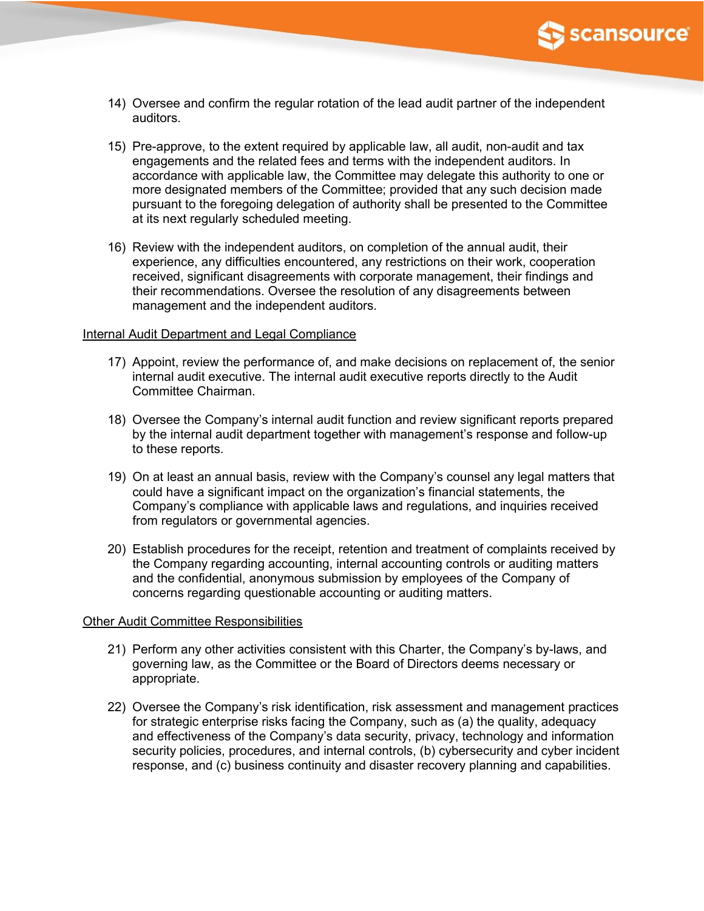

- 14) Oversee and confirm the regular rotation of the lead audit partner of the independent auditors.
- 15) Pre-approve, to the extent required by applicable law, all audit, non-audit and tax engagements and the related fees and terms with the independent auditors. In accordance with applicable law, the Committee may delegate this authority to one or more designated members of the Committee; provided that any such decision made pursuant to the foregoing delegation of authority shall be presented to the Committee at its next regularly scheduled meeting.
- 16) Review with the independent auditors, on completion of the annual audit, their experience, any difficulties encountered, any restrictions on their work, cooperation received, significant disagreements with corporate management, their findings and their recommendations. Oversee the resolution of any disagreements between management and the independent auditors.

### Internal Audit Department and Legal Compliance

- 17) Appoint, review the performance of, and make decisions on replacement of, the senior internal audit executive. The internal audit executive reports directly to the Audit Committee Chairman.
- 18) Oversee the Company's internal audit function and review significant reports prepared by the internal audit department together with management's response and follow-up to these reports.
- 19) On at least an annual basis, review with the Company's counsel any legal matters that could have a significant impact on the organization's financial statements, the Company's compliance with applicable laws and regulations, and inquiries received from regulators or governmental agencies.
- 20) Establish procedures for the receipt, retention and treatment of complaints received by the Company regarding accounting, internal accounting controls or auditing matters and the confidential, anonymous submission by employees of the Company of concerns regarding questionable accounting or auditing matters.

### Other Audit Committee Responsibilities

- 21) Perform any other activities consistent with this Charter, the Company's by-laws, and governing law, as the Committee or the Board of Directors deems necessary or appropriate.
- 22) Oversee the Company's risk identification, risk assessment and management practices for strategic enterprise risks facing the Company, such as (a) the quality, adequacy and effectiveness of the Company's data security, privacy, technology and information security policies, procedures, and internal controls, (b) cybersecurity and cyber incident response, and (c) business continuity and disaster recovery planning and capabilities.